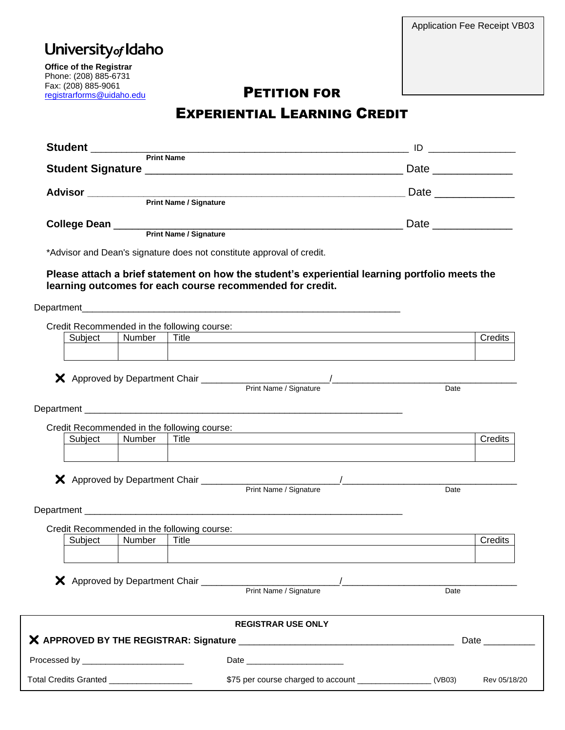# University<sub>of</sub> Idaho

**Office of the Registrar** Phone: (208) 885-6731 Fax: (208) 885-9061 rax: (208) 885-9061<br>
<u>[registrarforms@uidaho.edu](mailto:registrarforms@uidaho.edu)</u> PETITION FOR

## EXPERIENTIAL LEARNING CREDIT

|                                                                                    | Print Name / Signature                                                                                                                                                                                                         | Date ________________ |                                     |
|------------------------------------------------------------------------------------|--------------------------------------------------------------------------------------------------------------------------------------------------------------------------------------------------------------------------------|-----------------------|-------------------------------------|
|                                                                                    |                                                                                                                                                                                                                                |                       |                                     |
|                                                                                    | *Advisor and Dean's signature does not constitute approval of credit.                                                                                                                                                          |                       |                                     |
|                                                                                    | Please attach a brief statement on how the student's experiential learning portfolio meets the<br>learning outcomes for each course recommended for credit.                                                                    |                       |                                     |
|                                                                                    |                                                                                                                                                                                                                                |                       |                                     |
| Credit Recommended in the following course:                                        |                                                                                                                                                                                                                                |                       |                                     |
| Number<br>Subject                                                                  | Title                                                                                                                                                                                                                          |                       | Credits                             |
| Credit Recommended in the following course:                                        | Department experience and the control of the control of the control of the control of the control of the control of the control of the control of the control of the control of the control of the control of the control of t | $\overline{Date}$     |                                     |
|                                                                                    |                                                                                                                                                                                                                                |                       | Credits                             |
| <u> 1989 - John Stoff, amerikansk politiker (* 1989)</u><br>Print Name / Signature |                                                                                                                                                                                                                                | Date                  |                                     |
| Credit Recommended in the following course:                                        | <u> 1989 - John Stein, marking and de Brazilian (b. 1989)</u>                                                                                                                                                                  |                       |                                     |
| Subject   Number   Title                                                           |                                                                                                                                                                                                                                |                       | Credits                             |
|                                                                                    | X Approved by Department Chair Print Name / Signature / ________________________                                                                                                                                               | Date                  |                                     |
|                                                                                    | <b>REGISTRAR USE ONLY</b>                                                                                                                                                                                                      |                       |                                     |
|                                                                                    |                                                                                                                                                                                                                                |                       | Date $\_\_\_\_\_\_\_\_\_\_\_\_\_\_$ |
| Processed by __________________________                                            | Date                                                                                                                                                                                                                           |                       |                                     |
| Total Credits Granted ____________________                                         |                                                                                                                                                                                                                                |                       | Rev 05/18/20                        |